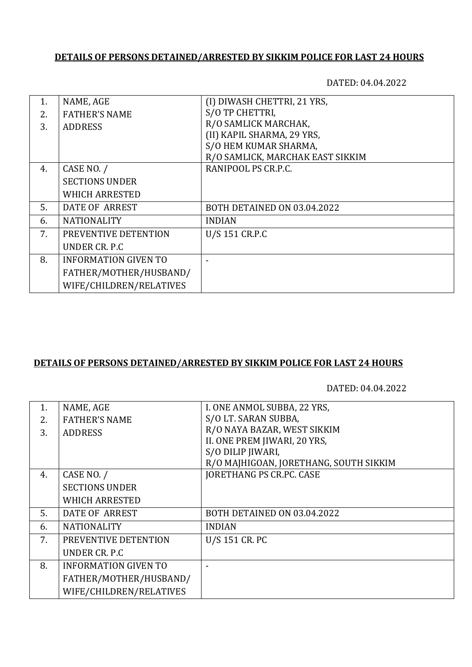## **DETAILS OF PERSONS DETAINED/ARRESTED BY SIKKIM POLICE FOR LAST 24 HOURS**

DATED: 04.04.2022

| 1. | NAME, AGE                   | (I) DIWASH CHETTRI, 21 YRS,      |
|----|-----------------------------|----------------------------------|
| 2. | <b>FATHER'S NAME</b>        | S/O TP CHETTRI,                  |
| 3. | <b>ADDRESS</b>              | R/O SAMLICK MARCHAK,             |
|    |                             | (II) KAPIL SHARMA, 29 YRS,       |
|    |                             | S/O HEM KUMAR SHARMA,            |
|    |                             | R/O SAMLICK, MARCHAK EAST SIKKIM |
| 4. | CASE NO. /                  | RANIPOOL PS CR.P.C.              |
|    | <b>SECTIONS UNDER</b>       |                                  |
|    | <b>WHICH ARRESTED</b>       |                                  |
| 5. | DATE OF ARREST              | BOTH DETAINED ON 03.04.2022      |
| 6. | <b>NATIONALITY</b>          | <b>INDIAN</b>                    |
| 7. | PREVENTIVE DETENTION        | U/S 151 CR.P.C                   |
|    | UNDER CR. P.C.              |                                  |
| 8. | <b>INFORMATION GIVEN TO</b> |                                  |
|    | FATHER/MOTHER/HUSBAND/      |                                  |
|    | WIFE/CHILDREN/RELATIVES     |                                  |

## **DETAILS OF PERSONS DETAINED/ARRESTED BY SIKKIM POLICE FOR LAST 24 HOURS**

DATED: 04.04.2022

| 1. | NAME, AGE                   | I. ONE ANMOL SUBBA, 22 YRS,            |
|----|-----------------------------|----------------------------------------|
| 2. | <b>FATHER'S NAME</b>        | S/O LT. SARAN SUBBA,                   |
| 3. | <b>ADDRESS</b>              | R/O NAYA BAZAR, WEST SIKKIM            |
|    |                             | II. ONE PREM JIWARI, 20 YRS,           |
|    |                             | S/O DILIP JIWARI,                      |
|    |                             | R/O MAJHIGOAN, JORETHANG, SOUTH SIKKIM |
| 4. | CASE NO. /                  | <b>JORETHANG PS CR.PC. CASE</b>        |
|    | <b>SECTIONS UNDER</b>       |                                        |
|    | <b>WHICH ARRESTED</b>       |                                        |
| 5. | DATE OF ARREST              | BOTH DETAINED ON 03.04.2022            |
| 6. | <b>NATIONALITY</b>          | <b>INDIAN</b>                          |
| 7. | PREVENTIVE DETENTION        | U/S 151 CR. PC                         |
|    | UNDER CR. P.C.              |                                        |
| 8. | <b>INFORMATION GIVEN TO</b> |                                        |
|    | FATHER/MOTHER/HUSBAND/      |                                        |
|    | WIFE/CHILDREN/RELATIVES     |                                        |